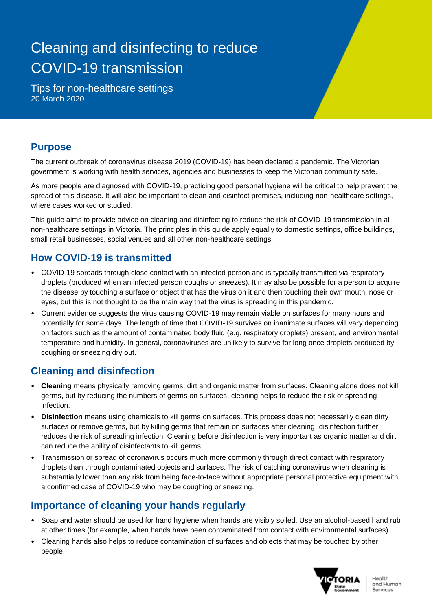# Cleaning and disinfecting to reduce COVID-19 transmission

Tips for non-healthcare settings 20 March 2020

### **Purpose**

The current outbreak of coronavirus disease 2019 (COVID-19) has been declared a pandemic. The Victorian government is working with health services, agencies and businesses to keep the Victorian community safe.

As more people are diagnosed with COVID-19, practicing good personal hygiene will be critical to help prevent the spread of this disease. It will also be important to clean and disinfect premises, including non-healthcare settings, where cases worked or studied.

This guide aims to provide advice on cleaning and disinfecting to reduce the risk of COVID-19 transmission in all non-healthcare settings in Victoria. The principles in this guide apply equally to domestic settings, office buildings, small retail businesses, social venues and all other non-healthcare settings.

### **How COVID-19 is transmitted**

- COVID-19 spreads through close contact with an infected person and is typically transmitted via respiratory droplets (produced when an infected person coughs or sneezes). It may also be possible for a person to acquire the disease by touching a surface or object that has the virus on it and then touching their own mouth, nose or eyes, but this is not thought to be the main way that the virus is spreading in this pandemic.
- Current evidence suggests the virus causing COVID-19 may remain viable on surfaces for many hours and potentially for some days. The length of time that COVID-19 survives on inanimate surfaces will vary depending on factors such as the amount of contaminated body fluid (e.g. respiratory droplets) present, and environmental temperature and humidity. In general, coronaviruses are unlikely to survive for long once droplets produced by coughing or sneezing dry out.

### **Cleaning and disinfection**

- **Cleaning** means physically removing germs, dirt and organic matter from surfaces. Cleaning alone does not kill germs, but by reducing the numbers of germs on surfaces, cleaning helps to reduce the risk of spreading infection.
- **Disinfection** means using chemicals to kill germs on surfaces. This process does not necessarily clean dirty surfaces or remove germs, but by killing germs that remain on surfaces after cleaning, disinfection further reduces the risk of spreading infection. Cleaning before disinfection is very important as organic matter and dirt can reduce the ability of disinfectants to kill germs.
- Transmission or spread of coronavirus occurs much more commonly through direct contact with respiratory droplets than through contaminated objects and surfaces. The risk of catching coronavirus when cleaning is substantially lower than any risk from being face-to-face without appropriate personal protective equipment with a confirmed case of COVID-19 who may be coughing or sneezing.

### **Importance of cleaning your hands regularly**

- Soap and water should be used for hand hygiene when hands are visibly soiled. Use an alcohol-based hand rub at other times (for example, when hands have been contaminated from contact with environmental surfaces).
- Cleaning hands also helps to reduce contamination of surfaces and objects that may be touched by other people.

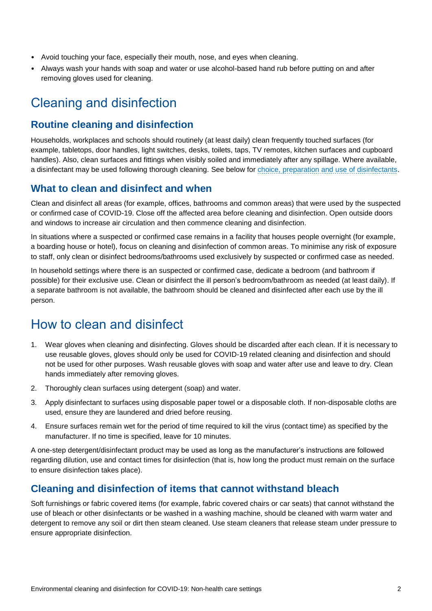- Avoid touching your face, especially their mouth, nose, and eyes when cleaning.
- Always wash your hands with soap and water or use alcohol-based hand rub before putting on and after removing gloves used for cleaning.

# Cleaning and disinfection

#### **Routine cleaning and disinfection**

Households, workplaces and schools should routinely (at least daily) clean frequently touched surfaces (for example, tabletops, door handles, light switches, desks, toilets, taps, TV remotes, kitchen surfaces and cupboard handles). Also, clean surfaces and fittings when visibly soiled and immediately after any spillage. Where available, a disinfectant may be used following thorough cleaning. See below for [choice, preparation and use of disinfectants.](#page-2-0)

#### **What to clean and disinfect and when**

Clean and disinfect all areas (for example, offices, bathrooms and common areas) that were used by the suspected or confirmed case of COVID-19. Close off the affected area before cleaning and disinfection. Open outside doors and windows to increase air circulation and then commence cleaning and disinfection.

In situations where a suspected or confirmed case remains in a facility that houses people overnight (for example, a boarding house or hotel), focus on cleaning and disinfection of common areas. To minimise any risk of exposure to staff, only clean or disinfect bedrooms/bathrooms used exclusively by suspected or confirmed case as needed.

In household settings where there is an suspected or confirmed case, dedicate a bedroom (and bathroom if possible) for their exclusive use. Clean or disinfect the ill person's bedroom/bathroom as needed (at least daily). If a separate bathroom is not available, the bathroom should be cleaned and disinfected after each use by the ill person.

### How to clean and disinfect

- 1. Wear gloves when cleaning and disinfecting. Gloves should be discarded after each clean. If it is necessary to use reusable gloves, gloves should only be used for COVID-19 related cleaning and disinfection and should not be used for other purposes. Wash reusable gloves with soap and water after use and leave to dry. Clean hands immediately after removing gloves.
- 2. Thoroughly clean surfaces using detergent (soap) and water.
- 3. Apply disinfectant to surfaces using disposable paper towel or a disposable cloth. If non-disposable cloths are used, ensure they are laundered and dried before reusing.
- 4. Ensure surfaces remain wet for the period of time required to kill the virus (contact time) as specified by the manufacturer. If no time is specified, leave for 10 minutes.

A one-step detergent/disinfectant product may be used as long as the manufacturer's instructions are followed regarding dilution, use and contact times for disinfection (that is, how long the product must remain on the surface to ensure disinfection takes place).

### **Cleaning and disinfection of items that cannot withstand bleach**

Soft furnishings or fabric covered items (for example, fabric covered chairs or car seats) that cannot withstand the use of bleach or other disinfectants or be washed in a washing machine, should be cleaned with warm water and detergent to remove any soil or dirt then steam cleaned. Use steam cleaners that release steam under pressure to ensure appropriate disinfection.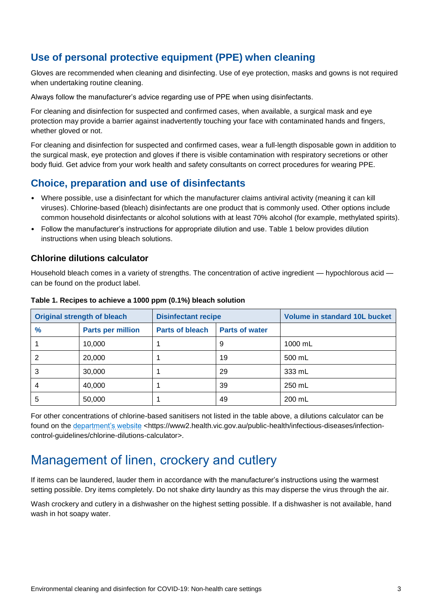### **Use of personal protective equipment (PPE) when cleaning**

Gloves are recommended when cleaning and disinfecting. Use of eye protection, masks and gowns is not required when undertaking routine cleaning.

Always follow the manufacturer's advice regarding use of PPE when using disinfectants.

For cleaning and disinfection for suspected and confirmed cases, when available, a surgical mask and eye protection may provide a barrier against inadvertently touching your face with contaminated hands and fingers, whether gloved or not.

For cleaning and disinfection for suspected and confirmed cases, wear a full-length disposable gown in addition to the surgical mask, eye protection and gloves if there is visible contamination with respiratory secretions or other body fluid. Get advice from your work health and safety consultants on correct procedures for wearing PPE.

### <span id="page-2-0"></span>**Choice, preparation and use of disinfectants**

- Where possible, use a disinfectant for which the manufacturer claims antiviral activity (meaning it can kill viruses). Chlorine-based (bleach) disinfectants are one product that is commonly used. Other options include common household disinfectants or alcohol solutions with at least 70% alcohol (for example, methylated spirits).
- Follow the manufacturer's instructions for appropriate dilution and use. Table 1 below provides dilution instructions when using bleach solutions.

#### **Chlorine dilutions calculator**

Household bleach comes in a variety of strengths. The concentration of active ingredient — hypochlorous acid can be found on the product label.

| <b>Original strength of bleach</b> |                          | <b>Disinfectant recipe</b> |                       | <b>Volume in standard 10L bucket</b> |
|------------------------------------|--------------------------|----------------------------|-----------------------|--------------------------------------|
| $\frac{9}{6}$                      | <b>Parts per million</b> | <b>Parts of bleach</b>     | <b>Parts of water</b> |                                      |
|                                    | 10,000                   |                            | 9                     | 1000 mL                              |
|                                    | 20,000                   |                            | 19                    | 500 mL                               |
| 3                                  | 30,000                   |                            | 29                    | 333 mL                               |
| 4                                  | 40,000                   |                            | 39                    | 250 mL                               |
| 5                                  | 50,000                   |                            | 49                    | 200 mL                               |

#### **Table 1. Recipes to achieve a 1000 ppm (0.1%) bleach solution**

For other concentrations of chlorine-based sanitisers not listed in the table above, a dilutions calculator can be found on the [department's website](https://www2.health.vic.gov.au/public-health/infectious-diseases/infection-control-guidelines/chlorine-dilutions-calculator) <https://www2.health.vic.gov.au/public-health/infectious-diseases/infectioncontrol-guidelines/chlorine-dilutions-calculator>.

### Management of linen, crockery and cutlery

If items can be laundered, lauder them in accordance with the manufacturer's instructions using the warmest setting possible. Dry items completely. Do not shake dirty laundry as this may disperse the virus through the air.

Wash crockery and cutlery in a dishwasher on the highest setting possible. If a dishwasher is not available, hand wash in hot soapy water.